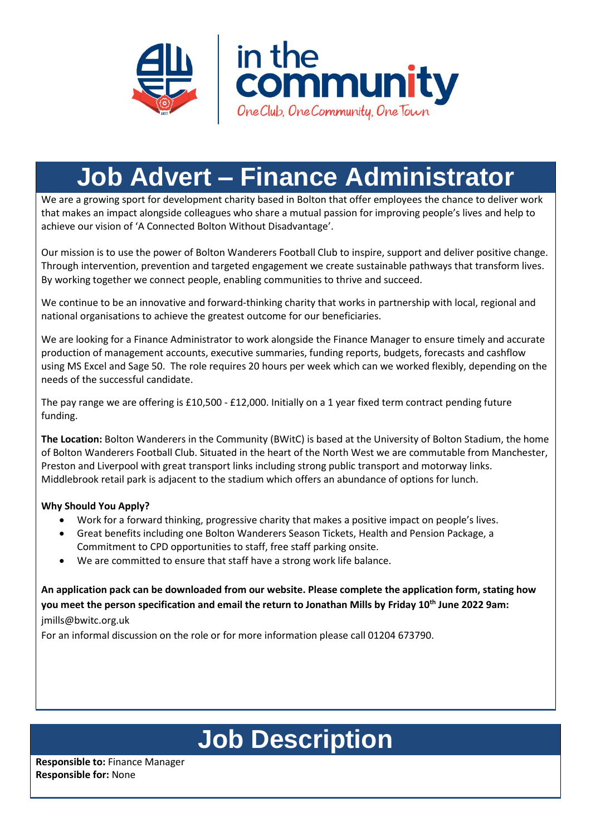



# **Job Advert – Finance Administrator**

We are a growing sport for development charity based in Bolton that offer employees the chance to deliver work that makes an impact alongside colleagues who share a mutual passion for improving people's lives and help to achieve our vision of 'A Connected Bolton Without Disadvantage'.

Our mission is to use the power of Bolton Wanderers Football Club to inspire, support and deliver positive change. Through intervention, prevention and targeted engagement we create sustainable pathways that transform lives. By working together we connect people, enabling communities to thrive and succeed.

We continue to be an innovative and forward-thinking charity that works in partnership with local, regional and national organisations to achieve the greatest outcome for our beneficiaries.

We are looking for a Finance Administrator to work alongside the Finance Manager to ensure timely and accurate production of management accounts, executive summaries, funding reports, budgets, forecasts and cashflow using MS Excel and Sage 50. The role requires 20 hours per week which can we worked flexibly, depending on the needs of the successful candidate.

The pay range we are offering is £10,500 - £12,000. Initially on a 1 year fixed term contract pending future funding.

**The Location:** Bolton Wanderers in the Community (BWitC) is based at the University of Bolton Stadium, the home of Bolton Wanderers Football Club. Situated in the heart of the North West we are commutable from Manchester, Preston and Liverpool with great transport links including strong public transport and motorway links. Middlebrook retail park is adjacent to the stadium which offers an abundance of options for lunch.

# **Why Should You Apply?**

- Work for a forward thinking, progressive charity that makes a positive impact on people's lives.
- Great benefits including one Bolton Wanderers Season Tickets, Health and Pension Package, a Commitment to CPD opportunities to staff, free staff parking onsite.
- We are committed to ensure that staff have a strong work life balance.

**An application pack can be downloaded from our website. Please complete the application form, stating how you meet the person specification and email the return to Jonathan Mills by Friday 10 th June 2022 9am:**  jmills@bwitc.org.uk

For an informal discussion on the role or for more information please call 01204 673790.

# **Job Description**

**Responsible to:** Finance Manager **Responsible for:** None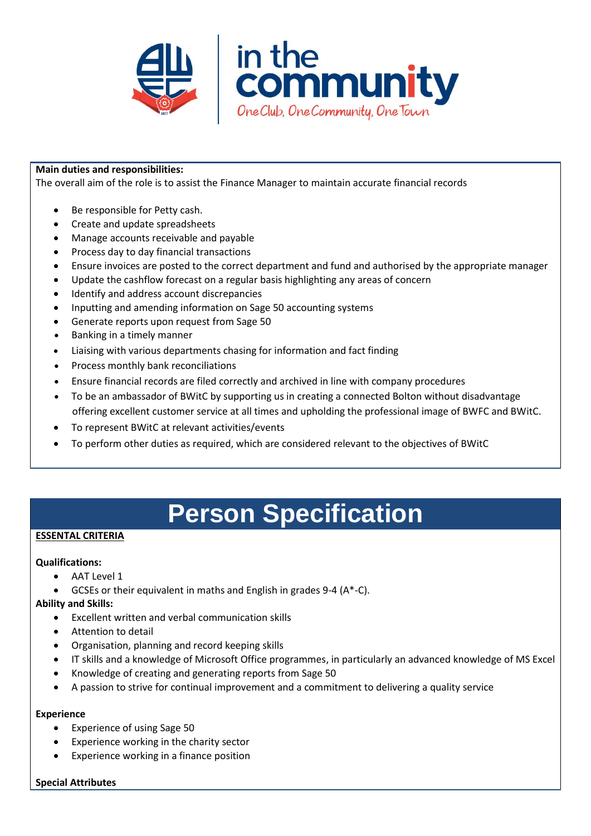



### **Main duties and responsibilities:**

The overall aim of the role is to assist the Finance Manager to maintain accurate financial records

- Be responsible for Petty cash.
- Create and update spreadsheets
- Manage accounts receivable and payable
- Process day to day financial transactions
- Ensure invoices are posted to the correct department and fund and authorised by the appropriate manager
- Update the cashflow forecast on a regular basis highlighting any areas of concern
- Identify and address account discrepancies
- Inputting and amending information on Sage 50 accounting systems
- Generate reports upon request from Sage 50
- Banking in a timely manner
- Liaising with various departments chasing for information and fact finding
- Process monthly bank reconciliations
- Ensure financial records are filed correctly and archived in line with company procedures
- To be an ambassador of BWitC by supporting us in creating a connected Bolton without disadvantage offering excellent customer service at all times and upholding the professional image of BWFC and BWitC.
- To represent BWitC at relevant activities/events
- To perform other duties as required, which are considered relevant to the objectives of BWitC

# **Person Specification**

#### **ESSENTAL CRITERIA**

#### **Qualifications:**

- AAT Level 1
- GCSEs or their equivalent in maths and English in grades 9-4 (A\*-C).

#### **Ability and Skills:**

- Excellent written and verbal communication skills
- Attention to detail
- Organisation, planning and record keeping skills
- IT skills and a knowledge of Microsoft Office programmes, in particularly an advanced knowledge of MS Excel
- Knowledge of creating and generating reports from Sage 50
- A passion to strive for continual improvement and a commitment to delivering a quality service

#### **Experience**

- Experience of using Sage 50
- Experience working in the charity sector
- Experience working in a finance position

#### **Special Attributes**